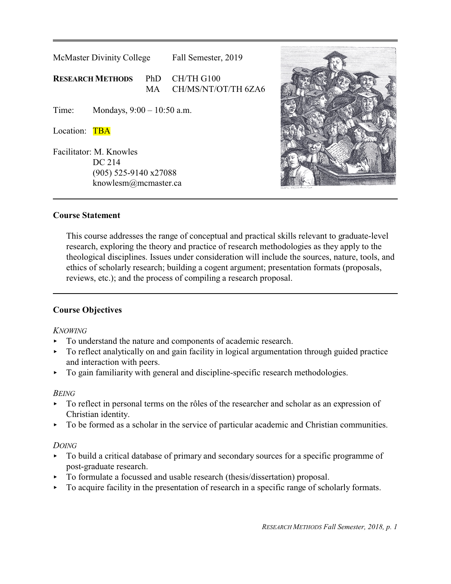| McMaster Divinity College                                                            |                              |           | Fall Semester, 2019               |  |
|--------------------------------------------------------------------------------------|------------------------------|-----------|-----------------------------------|--|
| <b>RESEARCH METHODS</b><br>PhD                                                       |                              | <b>MA</b> | CH/TH G100<br>CH/MS/NT/OT/TH 6ZA6 |  |
| Time:                                                                                | Mondays, $9:00 - 10:50$ a.m. |           |                                   |  |
| Location:<br><b>TBA</b>                                                              |                              |           |                                   |  |
| Facilitator: M. Knowles<br>DC 214<br>$(905)$ 525-9140 x27088<br>knowlesm@mcmaster.ca |                              |           |                                   |  |



# **Course Statement**

This course addresses the range of conceptual and practical skills relevant to graduate-level research, exploring the theory and practice of research methodologies as they apply to the theological disciplines. Issues under consideration will include the sources, nature, tools, and ethics of scholarly research; building a cogent argument; presentation formats (proposals, reviews, etc.); and the process of compiling a research proposal.

# **Course Objectives**

# *KNOWING*

- $\triangleright$  To understand the nature and components of academic research.
- To reflect analytically on and gain facility in logical argumentation through guided practice and interaction with peers.
- $\triangleright$  To gain familiarity with general and discipline-specific research methodologies.

# *BEING*

- $\triangleright$  To reflect in personal terms on the rôles of the researcher and scholar as an expression of Christian identity.
- $\triangleright$  To be formed as a scholar in the service of particular academic and Christian communities.

# *DOING*

- To build a critical database of primary and secondary sources for a specific programme of post-graduate research.
- To formulate a focussed and usable research (thesis/dissertation) proposal.
- $\triangleright$  To acquire facility in the presentation of research in a specific range of scholarly formats.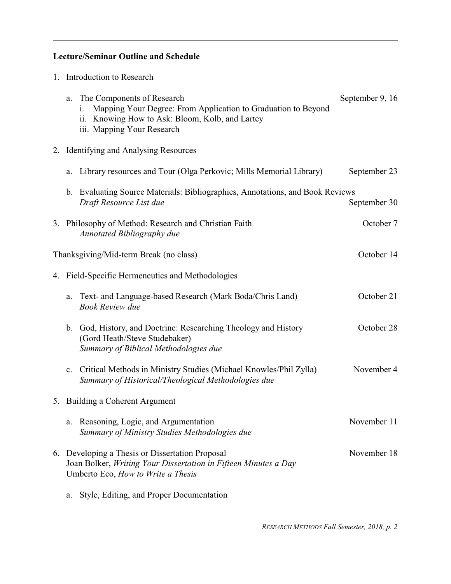# **Lecture/Seminar Outline and Schedule**

1. Introduction to Research

| a.             | The Components of Research<br>Mapping Your Degree: From Application to Graduation to Beyond<br>1.<br>ii. Knowing How to Ask: Bloom, Kolb, and Lartey<br>iii. Mapping Your Research | September 9, 16 |
|----------------|------------------------------------------------------------------------------------------------------------------------------------------------------------------------------------|-----------------|
|                | 2. Identifying and Analysing Resources                                                                                                                                             |                 |
| a.             | Library resources and Tour (Olga Perkovic; Mills Memorial Library)                                                                                                                 | September 23    |
|                | b. Evaluating Source Materials: Bibliographies, Annotations, and Book Reviews<br>Draft Resource List due                                                                           | September 30    |
|                | 3. Philosophy of Method: Research and Christian Faith<br><b>Annotated Bibliography due</b>                                                                                         | October 7       |
|                | Thanksgiving/Mid-term Break (no class)                                                                                                                                             | October 14      |
|                | 4. Field-Specific Hermeneutics and Methodologies                                                                                                                                   |                 |
| a.             | Text- and Language-based Research (Mark Boda/Chris Land)<br><b>Book Review due</b>                                                                                                 | October 21      |
|                | b. God, History, and Doctrine: Researching Theology and History<br>(Gord Heath/Steve Studebaker)<br>Summary of Biblical Methodologies due                                          | October 28      |
| $\mathbf{c}$ . | Critical Methods in Ministry Studies (Michael Knowles/Phil Zylla)<br>Summary of Historical/Theological Methodologies due                                                           | November 4      |
|                | 5. Building a Coherent Argument                                                                                                                                                    |                 |
| a.             | Reasoning, Logic, and Argumentation<br>Summary of Ministry Studies Methodologies due                                                                                               | November 11     |
|                | 6. Developing a Thesis or Dissertation Proposal<br>Joan Bolker, Writing Your Dissertation in Fifteen Minutes a Day<br>Umberto Eco, How to Write a Thesis                           | November 18     |

a. Style, Editing, and Proper Documentation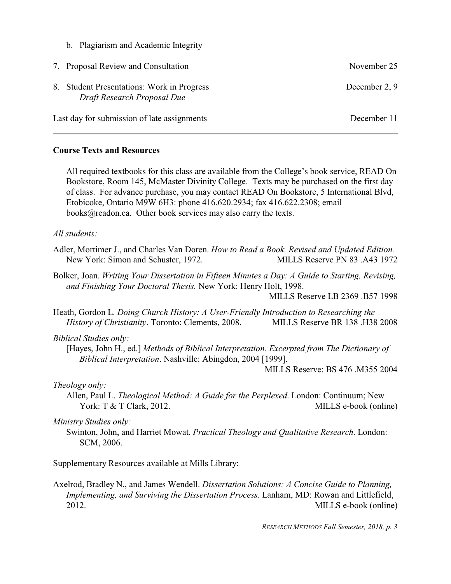b. Plagiarism and Academic Integrity

| 7. Proposal Review and Consultation                                       | November 25   |
|---------------------------------------------------------------------------|---------------|
| 8. Student Presentations: Work in Progress<br>Draft Research Proposal Due | December 2, 9 |
| Last day for submission of late assignments                               | December 11   |

### **Course Texts and Resources**

All required textbooks for this class are available from the College's book service, READ On Bookstore, Room 145, McMaster Divinity College. Texts may be purchased on the first day of class. For advance purchase, you may contact READ On Bookstore, 5 International Blvd, Etobicoke, Ontario M9W 6H3: phone 416.620.2934; fax 416.622.2308; email books@readon.ca. Other book services may also carry the texts.

#### *All students:*

- Adler, Mortimer J., and Charles Van Doren. *How to Read a Book. Revised and Updated Edition.* New York: Simon and Schuster, 1972. MILLS Reserve PN 83.A43 1972
- Bolker, Joan. *Writing Your Dissertation in Fifteen Minutes a Day: A Guide to Starting, Revising, and Finishing Your Doctoral Thesis.* New York: Henry Holt, 1998.

MILLS Reserve LB 2369 .B57 1998

Heath, Gordon L. *Doing Church History: A User-Friendly Introduction to Researching the History of Christianity*. Toronto: Clements, 2008. MILLS Reserve BR 138 .H38 2008

# *Biblical Studies only:*

[Hayes, John H., ed.] *Methods of Biblical Interpretation. Excerpted from The Dictionary of Biblical Interpretation*. Nashville: Abingdon, 2004 [1999].

MILLS Reserve: BS 476 .M355 2004

# *Theology only:*

Allen, Paul L. *Theological Method: A Guide for the Perplexed*. London: Continuum; New York: T & T Clark, 2012. MILLS e-book (online)

#### *Ministry Studies only:*

Swinton, John, and Harriet Mowat. *Practical Theology and Qualitative Research*. London: SCM, 2006.

Supplementary Resources available at Mills Library:

Axelrod, Bradley N., and James Wendell. *Dissertation Solutions: A Concise Guide to Planning, Implementing, and Surviving the Dissertation Process*. Lanham, MD: Rowan and Littlefield, 2012. MILLS e-book (online)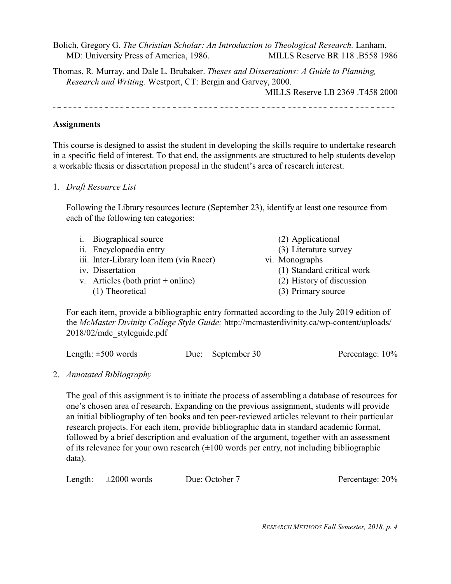Bolich, Gregory G. *The Christian Scholar: An Introduction to Theological Research.* Lanham, MD: University Press of America, 1986. MILLS Reserve BR 118 .B558 1986

Thomas, R. Murray, and Dale L. Brubaker. *Theses and Dissertations: A Guide to Planning, Research and Writing.* Westport, CT: Bergin and Garvey, 2000.

MILLS Reserve LB 2369 .T458 2000

# **Assignments**

This course is designed to assist the student in developing the skills require to undertake research in a specific field of interest. To that end, the assignments are structured to help students develop a workable thesis or dissertation proposal in the student's area of research interest.

#### 1. *Draft Resource List*

Following the Library resources lecture (September 23), identify at least one resource from each of the following ten categories:

| i. Biographical source                   | (2) Applicational          |
|------------------------------------------|----------------------------|
| ii. Encyclopaedia entry                  | (3) Literature survey      |
| iii. Inter-Library loan item (via Racer) | vi. Monographs             |
| iv. Dissertation                         | (1) Standard critical work |
| v. Articles (both print + online)        | (2) History of discussion  |
| (1) Theoretical                          | (3) Primary source         |
|                                          |                            |

For each item, provide a bibliographic entry formatted according to the July 2019 edition of the *McMaster Divinity College Style Guide:* http://mcmasterdivinity.ca/wp-content/uploads/ 2018/02/mdc\_styleguide.pdf

| Length: $\pm 500$ words | Due: September 30 | Percentage: 10% |
|-------------------------|-------------------|-----------------|
|-------------------------|-------------------|-----------------|

# 2. *Annotated Bibliography*

The goal of this assignment is to initiate the process of assembling a database of resources for one's chosen area of research. Expanding on the previous assignment, students will provide an initial bibliography of ten books and ten peer-reviewed articles relevant to their particular research projects. For each item, provide bibliographic data in standard academic format, followed by a brief description and evaluation of the argument, together with an assessment of its relevance for your own research  $(\pm 100$  words per entry, not including bibliographic data).

Length:  $\pm 2000$  words Due: October 7 Percentage: 20%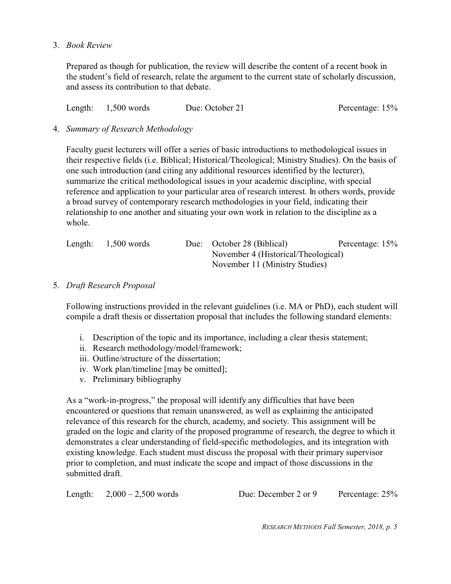3. *Book Review* 

Prepared as though for publication, the review will describe the content of a recent book in the student's field of research, relate the argument to the current state of scholarly discussion, and assess its contribution to that debate.

Length: 1,500 words Due: October 21 Percentage: 15%

# 4. *Summary of Research Methodology*

Faculty guest lecturers will offer a series of basic introductions to methodological issues in their respective fields (i.e. Biblical; Historical/Theological; Ministry Studies). On the basis of one such introduction (and citing any additional resources identified by the lecturer), summarize the critical methodological issues in your academic discipline, with special reference and application to your particular area of research interest. In others words, provide a broad survey of contemporary research methodologies in your field, indicating their relationship to one another and situating your own work in relation to the discipline as a whole.

| Length: | $1,500$ words |                                | Due: October 28 (Biblical)          | Percentage: 15% |
|---------|---------------|--------------------------------|-------------------------------------|-----------------|
|         |               |                                | November 4 (Historical/Theological) |                 |
|         |               | November 11 (Ministry Studies) |                                     |                 |

# 5. *Draft Research Proposal*

Following instructions provided in the relevant guidelines (i.e. MA or PhD), each student will compile a draft thesis or dissertation proposal that includes the following standard elements:

- i. Description of the topic and its importance, including a clear thesis statement;
- ii. Research methodology/model/framework;
- iii. Outline/structure of the dissertation;
- iv. Work plan/timeline [may be omitted];
- v. Preliminary bibliography

As a "work-in-progress," the proposal will identify any difficulties that have been encountered or questions that remain unanswered, as well as explaining the anticipated relevance of this research for the church, academy, and society. This assignment will be graded on the logic and clarity of the proposed programme of research, the degree to which it demonstrates a clear understanding of field-specific methodologies, and its integration with existing knowledge. Each student must discuss the proposal with their primary supervisor prior to completion, and must indicate the scope and impact of those discussions in the submitted draft.

|  | Length: $2,000 - 2,500$ words | Due: December 2 or 9 | Percentage: 25% |
|--|-------------------------------|----------------------|-----------------|
|--|-------------------------------|----------------------|-----------------|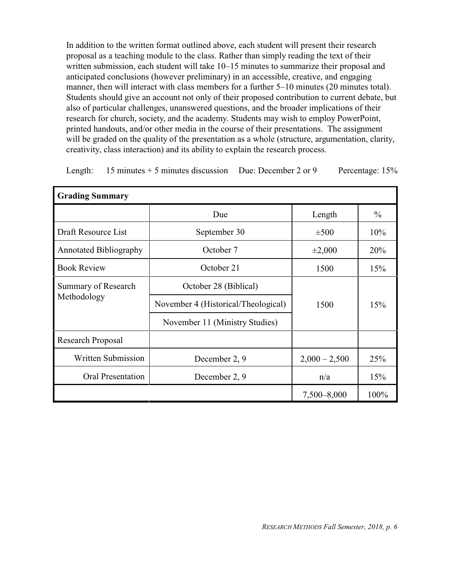In addition to the written format outlined above, each student will present their research proposal as a teaching module to the class. Rather than simply reading the text of their written submission, each student will take 10–15 minutes to summarize their proposal and anticipated conclusions (however preliminary) in an accessible, creative, and engaging manner, then will interact with class members for a further 5–10 minutes (20 minutes total). Students should give an account not only of their proposed contribution to current debate, but also of particular challenges, unanswered questions, and the broader implications of their research for church, society, and the academy. Students may wish to employ PowerPoint, printed handouts, and/or other media in the course of their presentations. The assignment will be graded on the quality of the presentation as a whole (structure, argumentation, clarity, creativity, class interaction) and its ability to explain the research process.

|  |  | Length: $15$ minutes $+5$ minutes discussion Due: December 2 or 9 |  | Percentage: 15% |
|--|--|-------------------------------------------------------------------|--|-----------------|
|--|--|-------------------------------------------------------------------|--|-----------------|

| <b>Grading Summary</b>        |                                     |                 |               |  |  |
|-------------------------------|-------------------------------------|-----------------|---------------|--|--|
|                               | Due                                 | Length          | $\frac{0}{0}$ |  |  |
| Draft Resource List           | September 30                        | $\pm 500$       | 10%           |  |  |
| <b>Annotated Bibliography</b> | October 7                           | $\pm 2,000$     | 20%           |  |  |
| <b>Book Review</b>            | October 21                          | 1500            | 15%           |  |  |
| Summary of Research           | October 28 (Biblical)               |                 |               |  |  |
| Methodology                   | November 4 (Historical/Theological) | 1500            | 15%           |  |  |
|                               | November 11 (Ministry Studies)      |                 |               |  |  |
| <b>Research Proposal</b>      |                                     |                 |               |  |  |
| Written Submission            | December 2, 9                       | $2,000 - 2,500$ | 25%           |  |  |
| <b>Oral Presentation</b>      | December 2, 9                       | n/a             | 15%           |  |  |
|                               |                                     | 7,500-8,000     | 100%          |  |  |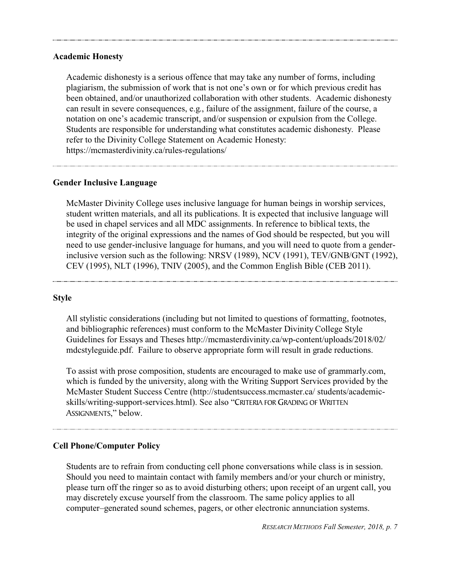#### **Academic Honesty**

Academic dishonesty is a serious offence that may take any number of forms, including plagiarism, the submission of work that is not one's own or for which previous credit has been obtained, and/or unauthorized collaboration with other students. Academic dishonesty can result in severe consequences, e.g., failure of the assignment, failure of the course, a notation on one's academic transcript, and/or suspension or expulsion from the College. Students are responsible for understanding what constitutes academic dishonesty. Please refer to the Divinity College Statement on Academic Honesty: https://mcmasterdivinity.ca/rules-regulations/

# **Gender Inclusive Language**

McMaster Divinity College uses inclusive language for human beings in worship services, student written materials, and all its publications. It is expected that inclusive language will be used in chapel services and all MDC assignments. In reference to biblical texts, the integrity of the original expressions and the names of God should be respected, but you will need to use gender-inclusive language for humans, and you will need to quote from a genderinclusive version such as the following: NRSV (1989), NCV (1991), TEV/GNB/GNT (1992), CEV (1995), NLT (1996), TNIV (2005), and the Common English Bible (CEB 2011).

#### **Style**

All stylistic considerations (including but not limited to questions of formatting, footnotes, and bibliographic references) must conform to the McMaster Divinity College Style Guidelines for Essays and Theses http://mcmasterdivinity.ca/wp-content/uploads/2018/02/ mdcstyleguide.pdf. Failure to observe appropriate form will result in grade reductions.

To assist with prose composition, students are encouraged to make use of grammarly.com, which is funded by the university, along with the Writing Support Services provided by the McMaster Student Success Centre (http://studentsuccess.mcmaster.ca/ students/academicskills/writing-support-services.html). See also "CRITERIA FOR GRADING OF WRITTEN ASSIGNMENTS," below.

# **Cell Phone/Computer Policy**

Students are to refrain from conducting cell phone conversations while class is in session. Should you need to maintain contact with family members and/or your church or ministry, please turn off the ringer so as to avoid disturbing others; upon receipt of an urgent call, you may discretely excuse yourself from the classroom. The same policy applies to all computer–generated sound schemes, pagers, or other electronic annunciation systems.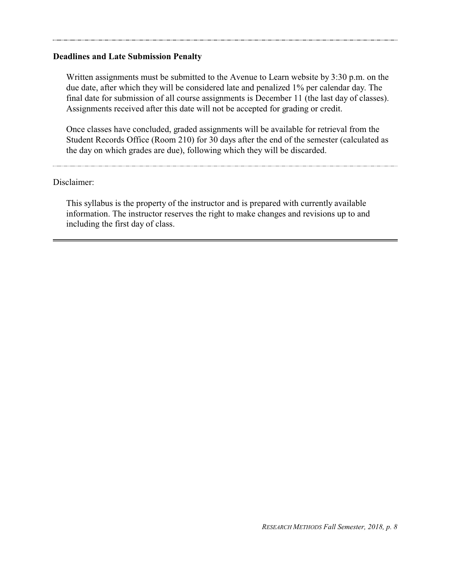#### **Deadlines and Late Submission Penalty**

Written assignments must be submitted to the Avenue to Learn website by 3:30 p.m. on the due date, after which they will be considered late and penalized 1% per calendar day. The final date for submission of all course assignments is December 11 (the last day of classes). Assignments received after this date will not be accepted for grading or credit.

Once classes have concluded, graded assignments will be available for retrieval from the Student Records Office (Room 210) for 30 days after the end of the semester (calculated as the day on which grades are due), following which they will be discarded.

#### Disclaimer:

This syllabus is the property of the instructor and is prepared with currently available information. The instructor reserves the right to make changes and revisions up to and including the first day of class.